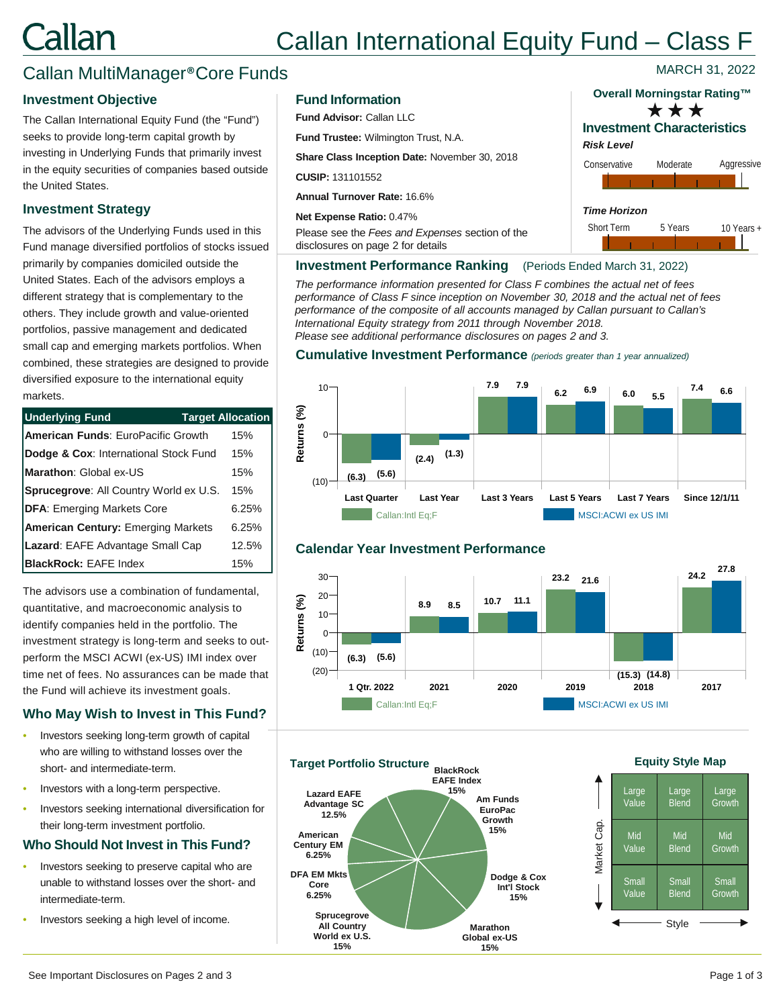# Callan Callan International Equity Fund – Class F

# Callan MultiManager®Core Funds

## **Investment Objective**

The Callan International Equity Fund (the "Fund") seeks to provide long-term capital growth by investing in Underlying Funds that primarily invest in the equity securities of companies based outside the United States.

## **Investment Strategy**

The advisors of the Underlying Funds used in this Fund manage diversified portfolios of stocks issued primarily by companies domiciled outside the United States. Each of the advisors employs a different strategy that is complementary to the others. They include growth and value-oriented portfolios, passive management and dedicated small cap and emerging markets portfolios. When combined, these strategies are designed to provide diversified exposure to the international equity markets.

| <b>Underlying Fund</b>                    | <b>Target Allocation</b> |
|-------------------------------------------|--------------------------|
| <b>American Funds: EuroPacific Growth</b> | 15%                      |
| Dodge & Cox: International Stock Fund     | 15%                      |
| <b>Marathon: Global ex-US</b>             | 15%                      |
| Sprucegrove: All Country World ex U.S.    | 15%                      |
| <b>DFA: Emerging Markets Core</b>         | 6.25%                    |
| <b>American Century: Emerging Markets</b> | 6.25%                    |
| Lazard: EAFE Advantage Small Cap          | 12.5%                    |
| <b>BlackRock: EAFE Index</b>              | 15%                      |

The advisors use a combination of fundamental, quantitative, and macroeconomic analysis to identify companies held in the portfolio. The investment strategy is long-term and seeks to outperform the MSCI ACWI (ex-US) IMI index over time net of fees. No assurances can be made that the Fund will achieve its investment goals.

## **Who May Wish to Invest in This Fund?**

- Investors seeking long-term growth of capital who are willing to withstand losses over the short- and intermediate-term.
- Investors with a long-term perspective.
- Investors seeking international diversification for their long-term investment portfolio.

# **Who Should Not Invest in This Fund?**

- Investors seeking to preserve capital who are unable to withstand losses over the short- and intermediate-term.
- Investors seeking a high level of income.

## **Fund Information**

**Fund Advisor:** Callan LLC

**Fund Trustee:** Wilmington Trust, N.A.

**Share Class Inception Date:** November 30, 2018

**CUSIP:** 131101552

**Annual Turnover Rate:** 16.6%

**Net Expense Ratio:** 0.47%

Please see the *Fees and Expenses* section of the disclosures on page 2 for details

## \*\*\* **Overall Morningstar Rating™**

MARCH 31, 2022

## **Investment Characteristics**

*Risk Level*



## **Investment Performance Ranking** (Periods Ended March 31, 2022)

*The performance information presented for Class F combines the actual net of fees performance of Class F since inception on November 30, 2018 and the actual net of fees performance of the composite of all accounts managed by Callan pursuant to Callan's International Equity strategy from 2011 through November 2018. Please see additional performance disclosures on pages 2 and 3.*

#### **Cumulative Investment Performance** *(periods greater than 1 year annualized)*



## **Calendar Year Investment Performance**



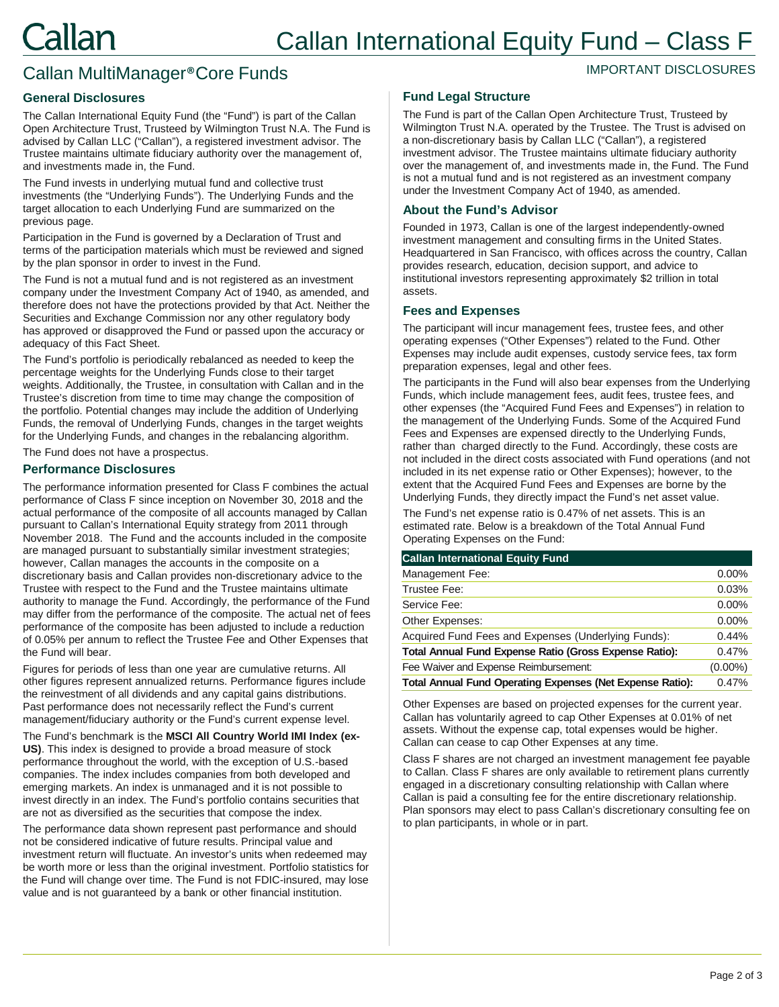# Callan MultiManager®Core Funds

## **General Disclosures**

The Callan International Equity Fund (the "Fund") is part of the Callan Open Architecture Trust, Trusteed by Wilmington Trust N.A. The Fund is advised by Callan LLC ("Callan"), a registered investment advisor. The Trustee maintains ultimate fiduciary authority over the management of, and investments made in, the Fund.

The Fund invests in underlying mutual fund and collective trust investments (the "Underlying Funds"). The Underlying Funds and the target allocation to each Underlying Fund are summarized on the previous page.

Participation in the Fund is governed by a Declaration of Trust and terms of the participation materials which must be reviewed and signed by the plan sponsor in order to invest in the Fund.

The Fund is not a mutual fund and is not registered as an investment company under the Investment Company Act of 1940, as amended, and therefore does not have the protections provided by that Act. Neither the Securities and Exchange Commission nor any other regulatory body has approved or disapproved the Fund or passed upon the accuracy or adequacy of this Fact Sheet.

The Fund's portfolio is periodically rebalanced as needed to keep the percentage weights for the Underlying Funds close to their target weights. Additionally, the Trustee, in consultation with Callan and in the Trustee's discretion from time to time may change the composition of the portfolio. Potential changes may include the addition of Underlying Funds, the removal of Underlying Funds, changes in the target weights for the Underlying Funds, and changes in the rebalancing algorithm.

The Fund does not have a prospectus.

#### **Performance Disclosures**

The performance information presented for Class F combines the actual performance of Class F since inception on November 30, 2018 and the actual performance of the composite of all accounts managed by Callan pursuant to Callan's International Equity strategy from 2011 through November 2018. The Fund and the accounts included in the composite are managed pursuant to substantially similar investment strategies; however, Callan manages the accounts in the composite on a discretionary basis and Callan provides non-discretionary advice to the Trustee with respect to the Fund and the Trustee maintains ultimate authority to manage the Fund. Accordingly, the performance of the Fund may differ from the performance of the composite. The actual net of fees performance of the composite has been adjusted to include a reduction of 0.05% per annum to reflect the Trustee Fee and Other Expenses that the Fund will bear.

Figures for periods of less than one year are cumulative returns. All other figures represent annualized returns. Performance figures include the reinvestment of all dividends and any capital gains distributions. Past performance does not necessarily reflect the Fund's current management/fiduciary authority or the Fund's current expense level.

The Fund's benchmark is the **MSCI All Country World IMI Index (ex-US)**. This index is designed to provide a broad measure of stock performance throughout the world, with the exception of U.S.-based companies. The index includes companies from both developed and emerging markets. An index is unmanaged and it is not possible to invest directly in an index. The Fund's portfolio contains securities that are not as diversified as the securities that compose the index.

The performance data shown represent past performance and should not be considered indicative of future results. Principal value and investment return will fluctuate. An investor's units when redeemed may be worth more or less than the original investment. Portfolio statistics for the Fund will change over time. The Fund is not FDIC-insured, may lose value and is not guaranteed by a bank or other financial institution.

#### **Fund Legal Structure**

The Fund is part of the Callan Open Architecture Trust, Trusteed by Wilmington Trust N.A. operated by the Trustee. The Trust is advised on a non-discretionary basis by Callan LLC ("Callan"), a registered investment advisor. The Trustee maintains ultimate fiduciary authority over the management of, and investments made in, the Fund. The Fund is not a mutual fund and is not registered as an investment company under the Investment Company Act of 1940, as amended.

IMPORTANT DISCLOSURES

#### **About the Fund's Advisor**

Founded in 1973, Callan is one of the largest independently-owned investment management and consulting firms in the United States. Headquartered in San Francisco, with offices across the country, Callan provides research, education, decision support, and advice to institutional investors representing approximately \$2 trillion in total assets.

#### **Fees and Expenses**

The participant will incur management fees, trustee fees, and other operating expenses ("Other Expenses") related to the Fund. Other Expenses may include audit expenses, custody service fees, tax form preparation expenses, legal and other fees.

The participants in the Fund will also bear expenses from the Underlying Funds, which include management fees, audit fees, trustee fees, and other expenses (the "Acquired Fund Fees and Expenses") in relation to the management of the Underlying Funds. Some of the Acquired Fund Fees and Expenses are expensed directly to the Underlying Funds, rather than charged directly to the Fund. Accordingly, these costs are not included in the direct costs associated with Fund operations (and not included in its net expense ratio or Other Expenses); however, to the extent that the Acquired Fund Fees and Expenses are borne by the Underlying Funds, they directly impact the Fund's net asset value.

The Fund's net expense ratio is 0.47% of net assets. This is an estimated rate. Below is a breakdown of the Total Annual Fund Operating Expenses on the Fund:

| <b>Callan International Equity Fund</b>                          |            |
|------------------------------------------------------------------|------------|
| Management Fee:                                                  | $0.00\%$   |
| Trustee Fee:                                                     | 0.03%      |
| Service Fee:                                                     | 0.00%      |
| Other Expenses:                                                  | 0.00%      |
| Acquired Fund Fees and Expenses (Underlying Funds):              | 0.44%      |
| <b>Total Annual Fund Expense Ratio (Gross Expense Ratio):</b>    | 0.47%      |
| Fee Waiver and Expense Reimbursement:                            | $(0.00\%)$ |
| <b>Total Annual Fund Operating Expenses (Net Expense Ratio):</b> | 0.47%      |

Other Expenses are based on projected expenses for the current year. Callan has voluntarily agreed to cap Other Expenses at 0.01% of net assets. Without the expense cap, total expenses would be higher. Callan can cease to cap Other Expenses at any time.

Class F shares are not charged an investment management fee payable to Callan. Class F shares are only available to retirement plans currently engaged in a discretionary consulting relationship with Callan where Callan is paid a consulting fee for the entire discretionary relationship. Plan sponsors may elect to pass Callan's discretionary consulting fee on to plan participants, in whole or in part.